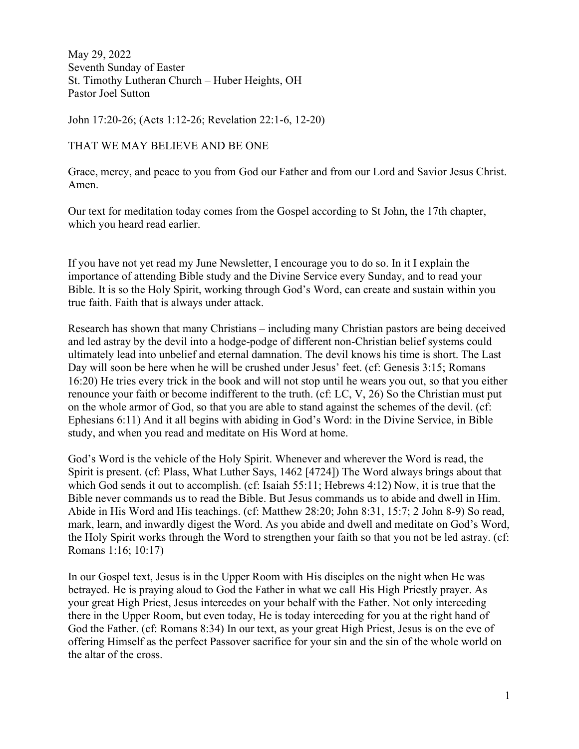May 29, 2022 Seventh Sunday of Easter St. Timothy Lutheran Church – Huber Heights, OH Pastor Joel Sutton

John 17:20-26; (Acts 1:12-26; Revelation 22:1-6, 12-20)

THAT WE MAY BELIEVE AND BE ONE

Grace, mercy, and peace to you from God our Father and from our Lord and Savior Jesus Christ. Amen.

Our text for meditation today comes from the Gospel according to St John, the 17th chapter, which you heard read earlier.

If you have not yet read my June Newsletter, I encourage you to do so. In it I explain the importance of attending Bible study and the Divine Service every Sunday, and to read your Bible. It is so the Holy Spirit, working through God's Word, can create and sustain within you true faith. Faith that is always under attack.

Research has shown that many Christians – including many Christian pastors are being deceived and led astray by the devil into a hodge-podge of different non-Christian belief systems could ultimately lead into unbelief and eternal damnation. The devil knows his time is short. The Last Day will soon be here when he will be crushed under Jesus' feet. (cf: Genesis 3:15; Romans 16:20) He tries every trick in the book and will not stop until he wears you out, so that you either renounce your faith or become indifferent to the truth. (cf: LC, V, 26) So the Christian must put on the whole armor of God, so that you are able to stand against the schemes of the devil. (cf: Ephesians 6:11) And it all begins with abiding in God's Word: in the Divine Service, in Bible study, and when you read and meditate on His Word at home.

God's Word is the vehicle of the Holy Spirit. Whenever and wherever the Word is read, the Spirit is present. (cf: Plass, What Luther Says, 1462 [4724]) The Word always brings about that which God sends it out to accomplish. (cf: Isaiah 55:11; Hebrews 4:12) Now, it is true that the Bible never commands us to read the Bible. But Jesus commands us to abide and dwell in Him. Abide in His Word and His teachings. (cf: Matthew 28:20; John 8:31, 15:7; 2 John 8-9) So read, mark, learn, and inwardly digest the Word. As you abide and dwell and meditate on God's Word, the Holy Spirit works through the Word to strengthen your faith so that you not be led astray. (cf: Romans 1:16; 10:17)

In our Gospel text, Jesus is in the Upper Room with His disciples on the night when He was betrayed. He is praying aloud to God the Father in what we call His High Priestly prayer. As your great High Priest, Jesus intercedes on your behalf with the Father. Not only interceding there in the Upper Room, but even today, He is today interceding for you at the right hand of God the Father. (cf: Romans 8:34) In our text, as your great High Priest, Jesus is on the eve of offering Himself as the perfect Passover sacrifice for your sin and the sin of the whole world on the altar of the cross.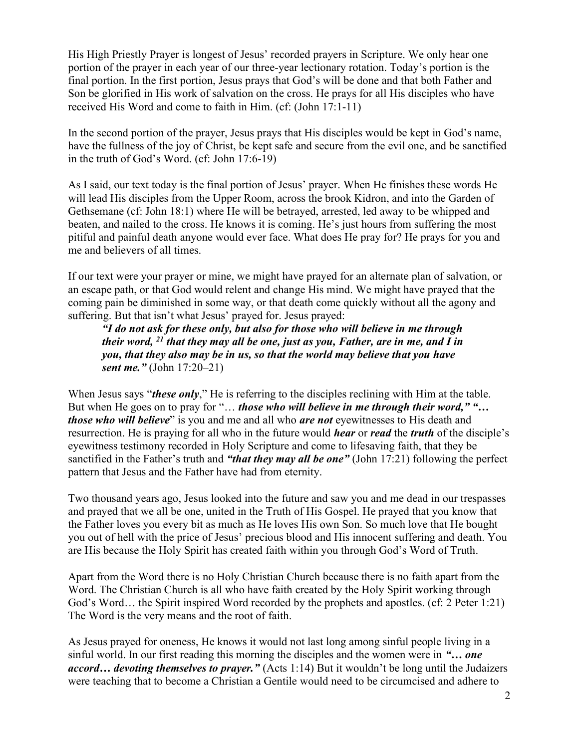His High Priestly Prayer is longest of Jesus' recorded prayers in Scripture. We only hear one portion of the prayer in each year of our three-year lectionary rotation. Today's portion is the final portion. In the first portion, Jesus prays that God's will be done and that both Father and Son be glorified in His work of salvation on the cross. He prays for all His disciples who have received His Word and come to faith in Him. (cf: (John 17:1-11)

In the second portion of the prayer, Jesus prays that His disciples would be kept in God's name, have the fullness of the joy of Christ, be kept safe and secure from the evil one, and be sanctified in the truth of God's Word. (cf: John 17:6-19)

As I said, our text today is the final portion of Jesus' prayer. When He finishes these words He will lead His disciples from the Upper Room, across the brook Kidron, and into the Garden of Gethsemane (cf: John 18:1) where He will be betrayed, arrested, led away to be whipped and beaten, and nailed to the cross. He knows it is coming. He's just hours from suffering the most pitiful and painful death anyone would ever face. What does He pray for? He prays for you and me and believers of all times.

If our text were your prayer or mine, we might have prayed for an alternate plan of salvation, or an escape path, or that God would relent and change His mind. We might have prayed that the coming pain be diminished in some way, or that death come quickly without all the agony and suffering. But that isn't what Jesus' prayed for. Jesus prayed:

"I do not ask for these only, but also for those who will believe in me through their word,  $^{21}$  that they may all be one, just as you, Father, are in me, and I in you, that they also may be in us, so that the world may believe that you have sent me." (John 17:20–21)

When Jesus says "these only," He is referring to the disciples reclining with Him at the table. But when He goes on to pray for "... *those who will believe in me through their word*," "... those who will believe" is you and me and all who are not eyewitnesses to His death and resurrection. He is praying for all who in the future would *hear* or *read* the *truth* of the disciple's eyewitness testimony recorded in Holy Scripture and come to lifesaving faith, that they be sanctified in the Father's truth and "that they may all be one" (John 17:21) following the perfect pattern that Jesus and the Father have had from eternity.

Two thousand years ago, Jesus looked into the future and saw you and me dead in our trespasses and prayed that we all be one, united in the Truth of His Gospel. He prayed that you know that the Father loves you every bit as much as He loves His own Son. So much love that He bought you out of hell with the price of Jesus' precious blood and His innocent suffering and death. You are His because the Holy Spirit has created faith within you through God's Word of Truth.

Apart from the Word there is no Holy Christian Church because there is no faith apart from the Word. The Christian Church is all who have faith created by the Holy Spirit working through God's Word… the Spirit inspired Word recorded by the prophets and apostles. (cf: 2 Peter 1:21) The Word is the very means and the root of faith.

As Jesus prayed for oneness, He knows it would not last long among sinful people living in a sinful world. In our first reading this morning the disciples and the women were in "... one accord... devoting themselves to prayer." (Acts 1:14) But it wouldn't be long until the Judaizers were teaching that to become a Christian a Gentile would need to be circumcised and adhere to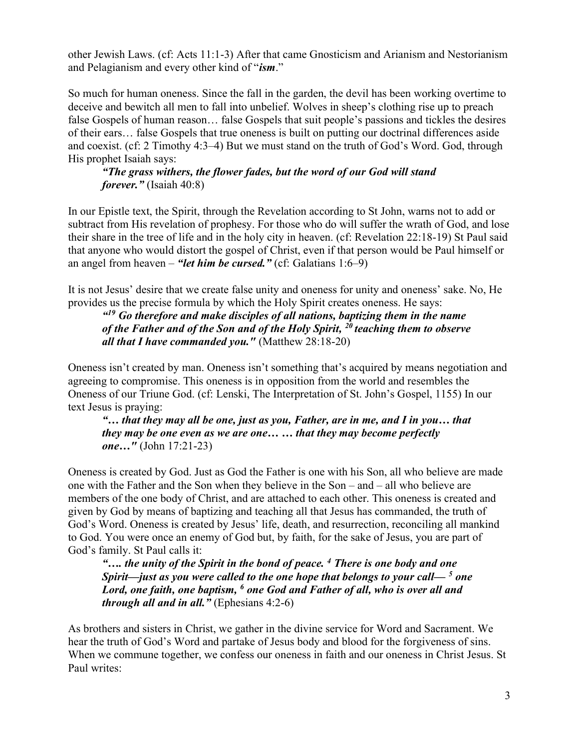other Jewish Laws. (cf: Acts 11:1-3) After that came Gnosticism and Arianism and Nestorianism and Pelagianism and every other kind of "ism."

So much for human oneness. Since the fall in the garden, the devil has been working overtime to deceive and bewitch all men to fall into unbelief. Wolves in sheep's clothing rise up to preach false Gospels of human reason… false Gospels that suit people's passions and tickles the desires of their ears… false Gospels that true oneness is built on putting our doctrinal differences aside and coexist. (cf: 2 Timothy 4:3–4) But we must stand on the truth of God's Word. God, through His prophet Isaiah says:

## "The grass withers, the flower fades, but the word of our God will stand forever." (Isaiah 40:8)

In our Epistle text, the Spirit, through the Revelation according to St John, warns not to add or subtract from His revelation of prophesy. For those who do will suffer the wrath of God, and lose their share in the tree of life and in the holy city in heaven. (cf: Revelation 22:18-19) St Paul said that anyone who would distort the gospel of Christ, even if that person would be Paul himself or an angel from heaven – "let him be cursed." (cf: Galatians  $1:6-9$ )

It is not Jesus' desire that we create false unity and oneness for unity and oneness' sake. No, He provides us the precise formula by which the Holy Spirit creates oneness. He says:

 $19$  Go therefore and make disciples of all nations, baptizing them in the name of the Father and of the Son and of the Holy Spirit,  $^{20}$  teaching them to observe all that I have commanded you." (Matthew  $28:18-20$ )

Oneness isn't created by man. Oneness isn't something that's acquired by means negotiation and agreeing to compromise. This oneness is in opposition from the world and resembles the Oneness of our Triune God. (cf: Lenski, The Interpretation of St. John's Gospel, 1155) In our text Jesus is praying:

"… that they may all be one, just as you, Father, are in me, and I in you… that they may be one even as we are one… … that they may become perfectly one…" (John 17:21-23)

Oneness is created by God. Just as God the Father is one with his Son, all who believe are made one with the Father and the Son when they believe in the Son – and – all who believe are members of the one body of Christ, and are attached to each other. This oneness is created and given by God by means of baptizing and teaching all that Jesus has commanded, the truth of God's Word. Oneness is created by Jesus' life, death, and resurrection, reconciling all mankind to God. You were once an enemy of God but, by faith, for the sake of Jesus, you are part of God's family. St Paul calls it:

".... the unity of the Spirit in the bond of peace. <sup>4</sup> There is one body and one Spirit—just as you were called to the one hope that belongs to your call—  $^5$  one Lord, one faith, one baptism, <sup>6</sup> one God and Father of all, who is over all and *through all and in all.*" (Ephesians  $4:2-6$ )

As brothers and sisters in Christ, we gather in the divine service for Word and Sacrament. We hear the truth of God's Word and partake of Jesus body and blood for the forgiveness of sins. When we commune together, we confess our oneness in faith and our oneness in Christ Jesus. St Paul writes: